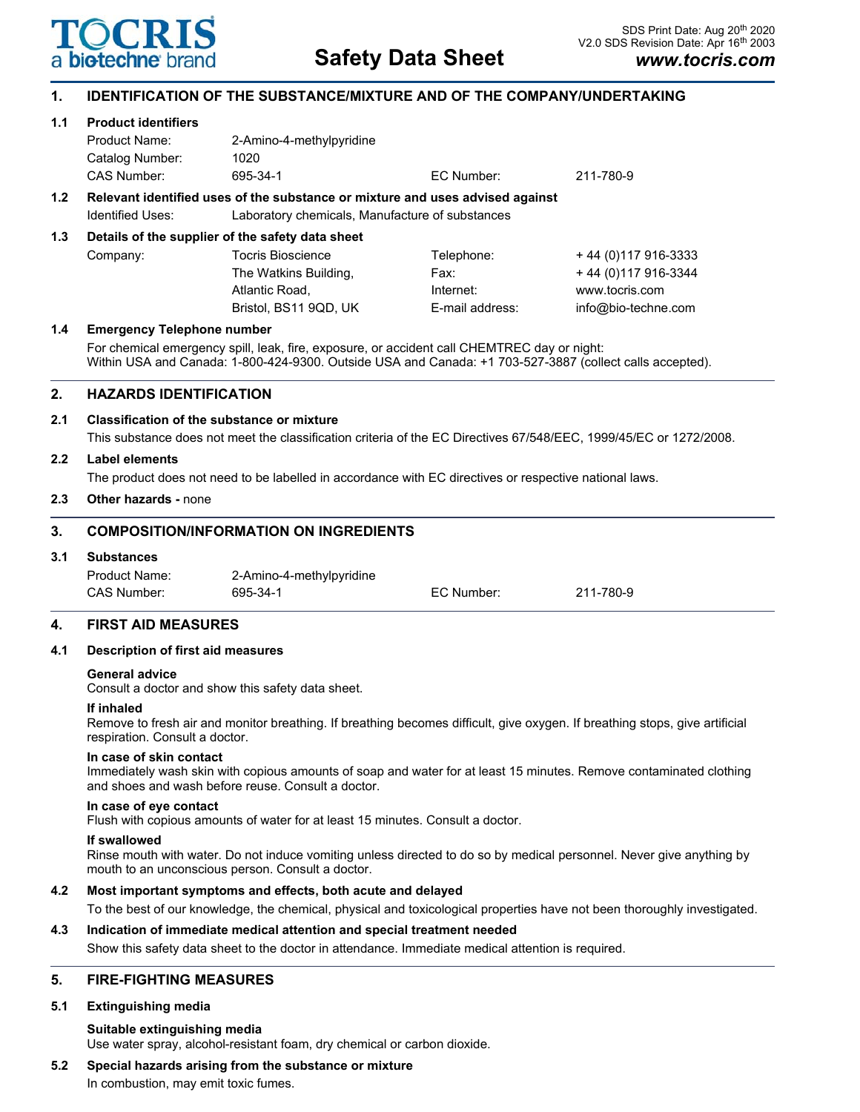

# **1. IDENTIFICATION OF THE SUBSTANCE/MIXTURE AND OF THE COMPANY/UNDERTAKING**

## **1.1 Product identifiers**

|     | Product Name:                                                                 | 2-Amino-4-methylpyridine                        |                 |                      |  |
|-----|-------------------------------------------------------------------------------|-------------------------------------------------|-----------------|----------------------|--|
|     | Catalog Number:                                                               | 1020                                            |                 |                      |  |
|     | CAS Number:                                                                   | 695-34-1                                        | EC Number:      | 211-780-9            |  |
| 1.2 | Relevant identified uses of the substance or mixture and uses advised against |                                                 |                 |                      |  |
|     | Identified Uses:                                                              | Laboratory chemicals, Manufacture of substances |                 |                      |  |
| 1.3 | Details of the supplier of the safety data sheet                              |                                                 |                 |                      |  |
|     | Company:                                                                      | <b>Tocris Bioscience</b>                        | Telephone:      | +44 (0) 117 916-3333 |  |
|     |                                                                               | The Watkins Building,                           | Fax:            | +44 (0) 117 916-3344 |  |
|     |                                                                               | Atlantic Road,                                  | Internet:       | www.tocris.com       |  |
|     |                                                                               | Bristol, BS11 9QD, UK                           | E-mail address: | info@bio-techne.com  |  |
| 1.4 | <b>Emergency Telephone number</b>                                             |                                                 |                 |                      |  |

For chemical emergency spill, leak, fire, exposure, or accident call CHEMTREC day or night: Within USA and Canada: 1-800-424-9300. Outside USA and Canada: +1 703-527-3887 (collect calls accepted).

# **2. HAZARDS IDENTIFICATION**

#### **2.1 Classification of the substance or mixture**

This substance does not meet the classification criteria of the EC Directives 67/548/EEC, 1999/45/EC or 1272/2008.

#### **2.2 Label elements**

The product does not need to be labelled in accordance with EC directives or respective national laws.

#### **2.3 Other hazards -** none

# **3. COMPOSITION/INFORMATION ON INGREDIENTS**

## **3.1 Substances**

| Product Name: | 2-Amino-4-methylpyridine |            |           |
|---------------|--------------------------|------------|-----------|
| CAS Number:   | 695-34-1                 | EC Number: | 211-780-9 |

# **4. FIRST AID MEASURES**

#### **4.1 Description of first aid measures**

#### **General advice**

Consult a doctor and show this safety data sheet.

#### **If inhaled**

Remove to fresh air and monitor breathing. If breathing becomes difficult, give oxygen. If breathing stops, give artificial respiration. Consult a doctor.

#### **In case of skin contact**

Immediately wash skin with copious amounts of soap and water for at least 15 minutes. Remove contaminated clothing and shoes and wash before reuse. Consult a doctor.

#### **In case of eye contact**

Flush with copious amounts of water for at least 15 minutes. Consult a doctor.

#### **If swallowed**

Rinse mouth with water. Do not induce vomiting unless directed to do so by medical personnel. Never give anything by mouth to an unconscious person. Consult a doctor.

#### **4.2 Most important symptoms and effects, both acute and delayed**

To the best of our knowledge, the chemical, physical and toxicological properties have not been thoroughly investigated.

#### **4.3 Indication of immediate medical attention and special treatment needed**

Show this safety data sheet to the doctor in attendance. Immediate medical attention is required.

# **5. FIRE-FIGHTING MEASURES**

#### **5.1 Extinguishing media**

**Suitable extinguishing media** Use water spray, alcohol-resistant foam, dry chemical or carbon dioxide.

# **5.2 Special hazards arising from the substance or mixture**

In combustion, may emit toxic fumes.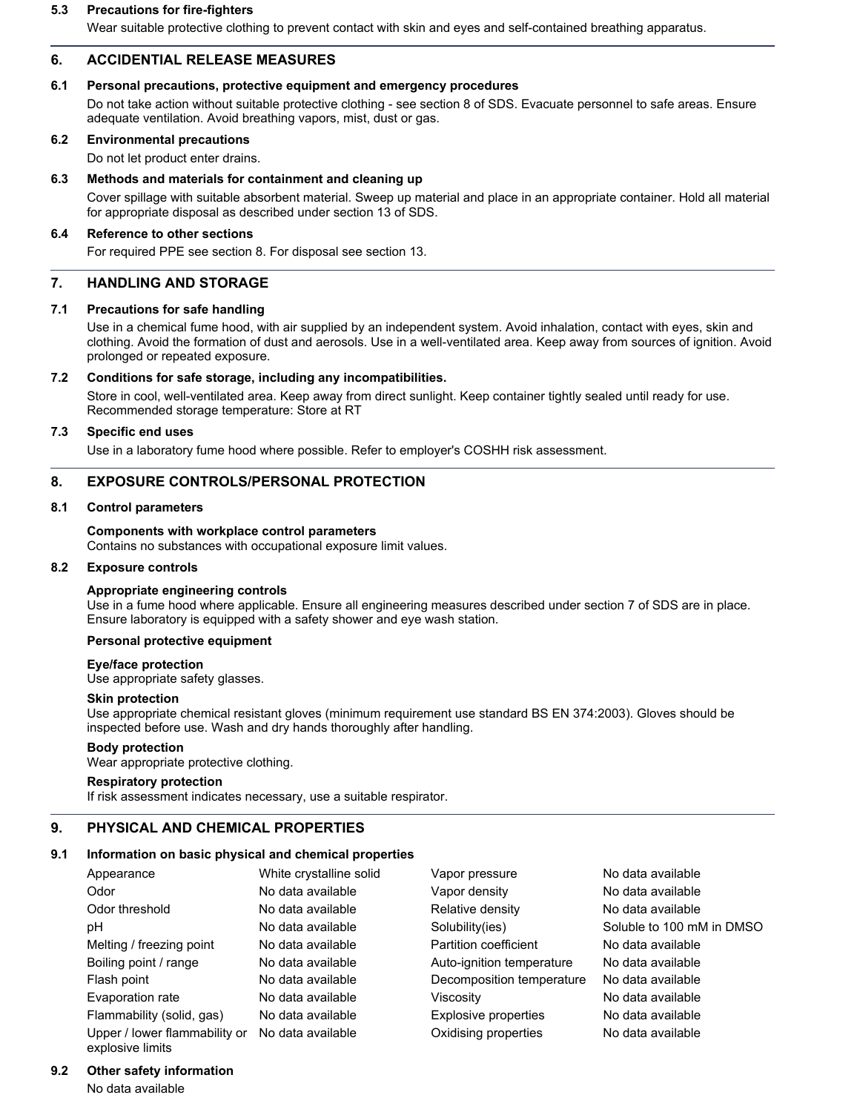#### **5.3 Precautions for fire-fighters**

Wear suitable protective clothing to prevent contact with skin and eyes and self-contained breathing apparatus.

# **6. ACCIDENTIAL RELEASE MEASURES**

# **6.1 Personal precautions, protective equipment and emergency procedures**

Do not take action without suitable protective clothing - see section 8 of SDS. Evacuate personnel to safe areas. Ensure adequate ventilation. Avoid breathing vapors, mist, dust or gas.

# **6.2 Environmental precautions**

Do not let product enter drains.

## **6.3 Methods and materials for containment and cleaning up**

Cover spillage with suitable absorbent material. Sweep up material and place in an appropriate container. Hold all material for appropriate disposal as described under section 13 of SDS.

#### **6.4 Reference to other sections**

For required PPE see section 8. For disposal see section 13.

# **7. HANDLING AND STORAGE**

#### **7.1 Precautions for safe handling**

Use in a chemical fume hood, with air supplied by an independent system. Avoid inhalation, contact with eyes, skin and clothing. Avoid the formation of dust and aerosols. Use in a well-ventilated area. Keep away from sources of ignition. Avoid prolonged or repeated exposure.

# **7.2 Conditions for safe storage, including any incompatibilities.**

Store in cool, well-ventilated area. Keep away from direct sunlight. Keep container tightly sealed until ready for use. Recommended storage temperature: Store at RT

## **7.3 Specific end uses**

Use in a laboratory fume hood where possible. Refer to employer's COSHH risk assessment.

# **8. EXPOSURE CONTROLS/PERSONAL PROTECTION**

# **8.1 Control parameters**

#### **Components with workplace control parameters**

Contains no substances with occupational exposure limit values.

#### **8.2 Exposure controls**

# **Appropriate engineering controls**

Use in a fume hood where applicable. Ensure all engineering measures described under section 7 of SDS are in place. Ensure laboratory is equipped with a safety shower and eye wash station.

# **Personal protective equipment**

#### **Eye/face protection**

Use appropriate safety glasses.

#### **Skin protection**

Use appropriate chemical resistant gloves (minimum requirement use standard BS EN 374:2003). Gloves should be inspected before use. Wash and dry hands thoroughly after handling.

# **Body protection**

Wear appropriate protective clothing.

# **Respiratory protection**

If risk assessment indicates necessary, use a suitable respirator.

# **9. PHYSICAL AND CHEMICAL PROPERTIES**

# **9.1 Information on basic physical and chemical properties**

| Appearance                    | White crystalline solid | Vapor pressure            | No data available         |
|-------------------------------|-------------------------|---------------------------|---------------------------|
| Odor                          | No data available       | Vapor density             | No data available         |
| Odor threshold                | No data available       | Relative density          | No data available         |
| рH                            | No data available       | Solubility(ies)           | Soluble to 100 mM in DMSO |
| Melting / freezing point      | No data available       | Partition coefficient     | No data available         |
| Boiling point / range         | No data available       | Auto-ignition temperature | No data available         |
| Flash point                   | No data available       | Decomposition temperature | No data available         |
| Evaporation rate              | No data available       | Viscositv                 | No data available         |
| Flammability (solid, gas)     | No data available       | Explosive properties      | No data available         |
| Upper / lower flammability or | No data available       | Oxidising properties      | No data available         |

#### **9.2 Other safety information**

explosive limits

No data available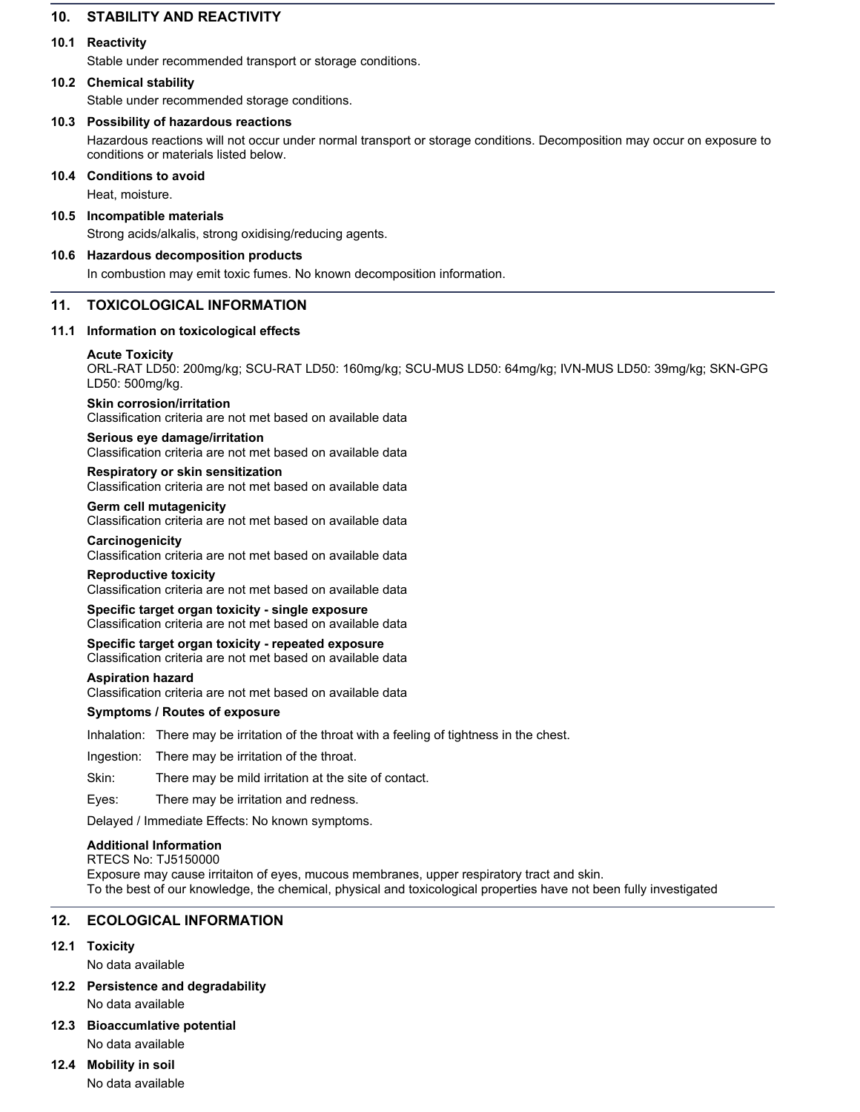# **10. STABILITY AND REACTIVITY**

# **10.1 Reactivity**

Stable under recommended transport or storage conditions.

# **10.2 Chemical stability**

Stable under recommended storage conditions.

# **10.3 Possibility of hazardous reactions**

Hazardous reactions will not occur under normal transport or storage conditions. Decomposition may occur on exposure to conditions or materials listed below.

#### **10.4 Conditions to avoid**

Heat, moisture.

## **10.5 Incompatible materials**

Strong acids/alkalis, strong oxidising/reducing agents.

# **10.6 Hazardous decomposition products**

In combustion may emit toxic fumes. No known decomposition information.

# **11. TOXICOLOGICAL INFORMATION**

#### **11.1 Information on toxicological effects**

#### **Acute Toxicity**

ORL-RAT LD50: 200mg/kg; SCU-RAT LD50: 160mg/kg; SCU-MUS LD50: 64mg/kg; IVN-MUS LD50: 39mg/kg; SKN-GPG LD50: 500mg/kg.

#### **Skin corrosion/irritation**

Classification criteria are not met based on available data

# **Serious eye damage/irritation**

Classification criteria are not met based on available data

#### **Respiratory or skin sensitization**

Classification criteria are not met based on available data

#### **Germ cell mutagenicity**

Classification criteria are not met based on available data

#### **Carcinogenicity**

Classification criteria are not met based on available data

#### **Reproductive toxicity**

Classification criteria are not met based on available data

## **Specific target organ toxicity - single exposure** Classification criteria are not met based on available data

**Specific target organ toxicity - repeated exposure** Classification criteria are not met based on available data

#### **Aspiration hazard**

Classification criteria are not met based on available data

# **Symptoms / Routes of exposure**

Inhalation: There may be irritation of the throat with a feeling of tightness in the chest.

Ingestion: There may be irritation of the throat.

Skin: There may be mild irritation at the site of contact.

Eyes: There may be irritation and redness.

Delayed / Immediate Effects: No known symptoms.

# **Additional Information**

RTECS No: TJ5150000

Exposure may cause irritaiton of eyes, mucous membranes, upper respiratory tract and skin. To the best of our knowledge, the chemical, physical and toxicological properties have not been fully investigated

# **12. ECOLOGICAL INFORMATION**

# **12.1 Toxicity**

No data available

**12.2 Persistence and degradability**

No data available

# **12.3 Bioaccumlative potential** No data available

# **12.4 Mobility in soil**

No data available